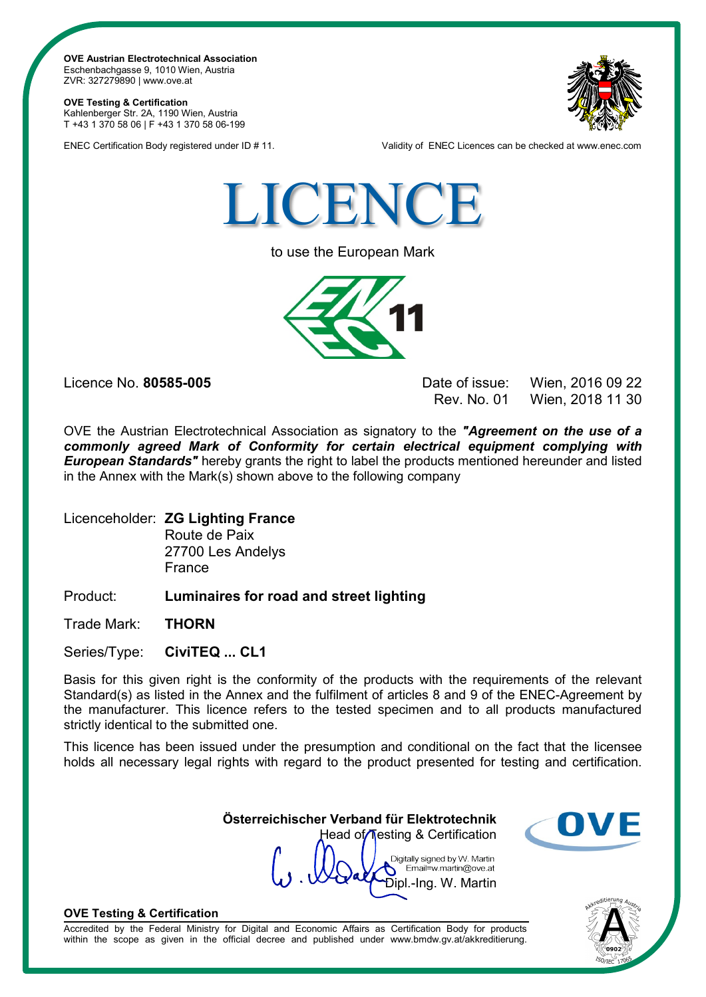**OVE Austrian Electrotechnical Association** Eschenbachgasse 9, 1010 Wien, Austria ZVR: 327279890 | www.ove.at

**OVE Testing & Certification** Kahlenberger Str. 2A, 1190 Wien, Austria T +43 1 370 58 06 | F +43 1 370 58 06-199



ENEC Certification Body registered under ID # 11. Validity of ENEC Licences can be checked at www.enec.com



to use the European Mark



Licence No. **80585-005** Date of issue: Wien, 2016 09 22 Wien, 2018 11 30

OVE the Austrian Electrotechnical Association as signatory to the *"Agreement on the use of a commonly agreed Mark of Conformity for certain electrical equipment complying with European Standards"* hereby grants the right to label the products mentioned hereunder and listed in the Annex with the Mark(s) shown above to the following company

Licenceholder: **ZG Lighting France** Route de Paix

27700 Les Andelys France

Product: **Luminaires for road and street lighting**

Trade Mark: **THORN**

Series/Type: **CiviTEQ ... CL1**

Basis for this given right is the conformity of the products with the requirements of the relevant Standard(s) as listed in the Annex and the fulfilment of articles 8 and 9 of the ENEC-Agreement by the manufacturer. This licence refers to the tested specimen and to all products manufactured strictly identical to the submitted one.

This licence has been issued under the presumption and conditional on the fact that the licensee holds all necessary legal rights with regard to the product presented for testing and certification.

> **Österreichischer Verband für Elektrotechnik** Head of Testing & Certification

Digitally signed by W. Martin Email=w.martin@ove.at Dipl.-Ing. W. Martin



## **OVE Testing & Certification**

Accredited by the Federal Ministry for Digital and Economic Affairs as Certification Body for products within the scope as given in the official decree and published under www.bmdw.gv.at/akkreditierung.

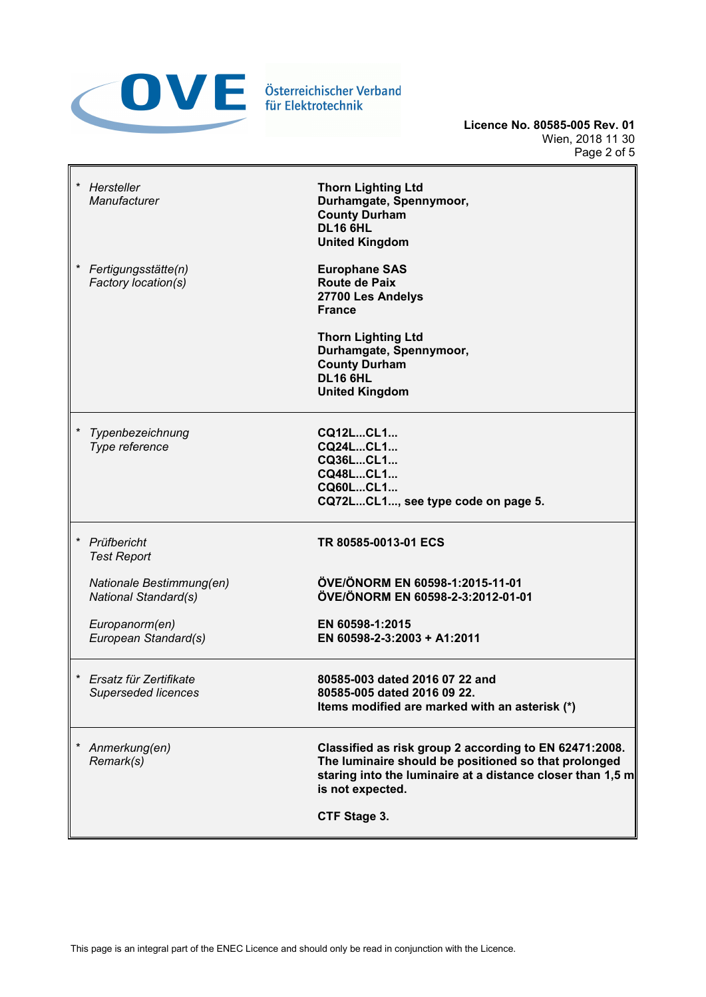

**Licence No. 80585-005 Rev. 01** Wien, 2018 11 30 Page 2 of 5

| $\star$<br>Hersteller<br>Manufacturer                   | <b>Thorn Lighting Ltd</b><br>Durhamgate, Spennymoor,<br><b>County Durham</b><br><b>DL16 6HL</b><br><b>United Kingdom</b>                                                                         |
|---------------------------------------------------------|--------------------------------------------------------------------------------------------------------------------------------------------------------------------------------------------------|
| Fertigungsstätte(n)<br>Factory location(s)              | <b>Europhane SAS</b><br><b>Route de Paix</b><br>27700 Les Andelys<br><b>France</b>                                                                                                               |
|                                                         | <b>Thorn Lighting Ltd</b><br>Durhamgate, Spennymoor,<br><b>County Durham</b><br><b>DL16 6HL</b><br><b>United Kingdom</b>                                                                         |
| Typenbezeichnung<br>Type reference                      | CQ12LCL1<br>CQ24LCL1<br>CQ36LCL1<br>CQ48LCL1<br>CQ60LCL1<br>CQ72LCL1, see type code on page 5.                                                                                                   |
| $\star$<br>Prüfbericht<br><b>Test Report</b>            | TR 80585-0013-01 ECS                                                                                                                                                                             |
| Nationale Bestimmung(en)<br><b>National Standard(s)</b> | ÖVE/ÖNORM EN 60598-1:2015-11-01<br>ÖVE/ÖNORM EN 60598-2-3:2012-01-01                                                                                                                             |
| Europanorm(en)<br>European Standard(s)                  | EN 60598-1:2015<br>EN 60598-2-3:2003 + A1:2011                                                                                                                                                   |
| Ersatz für Zertifikate<br><b>Superseded licences</b>    | 80585-003 dated 2016 07 22 and<br>80585-005 dated 2016 09 22.<br>Items modified are marked with an asterisk (*)                                                                                  |
| Anmerkung(en)<br>Remark(s)                              | Classified as risk group 2 according to EN 62471:2008.<br>The luminaire should be positioned so that prolonged<br>staring into the luminaire at a distance closer than 1,5 m<br>is not expected. |
|                                                         | CTF Stage 3.                                                                                                                                                                                     |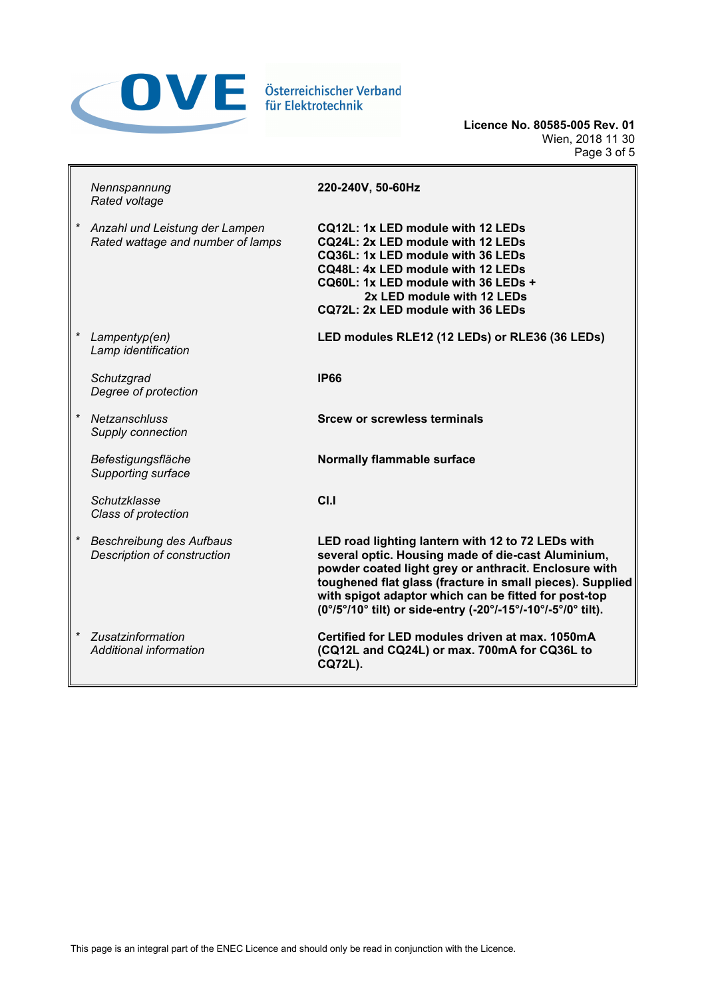

**Licence No. 80585-005 Rev. 01** Wien, 2018 11 30 Page 3 of 5

| Nennspannung<br>Rated voltage                                       | 220-240V, 50-60Hz                                                                                                                                                                                                                                                                                                                                     |
|---------------------------------------------------------------------|-------------------------------------------------------------------------------------------------------------------------------------------------------------------------------------------------------------------------------------------------------------------------------------------------------------------------------------------------------|
| Anzahl und Leistung der Lampen<br>Rated wattage and number of lamps | CQ12L: 1x LED module with 12 LEDs<br>CQ24L: 2x LED module with 12 LEDs<br>CQ36L: 1x LED module with 36 LEDs<br>CQ48L: 4x LED module with 12 LEDs<br>CQ60L: 1x LED module with 36 LEDs +<br>2x LED module with 12 LEDs<br>CQ72L: 2x LED module with 36 LEDs                                                                                            |
| Lampentyp(en)<br>Lamp identification                                | LED modules RLE12 (12 LEDs) or RLE36 (36 LEDs)                                                                                                                                                                                                                                                                                                        |
| Schutzgrad<br>Degree of protection                                  | <b>IP66</b>                                                                                                                                                                                                                                                                                                                                           |
| Netzanschluss<br>Supply connection                                  | <b>Srcew or screwless terminals</b>                                                                                                                                                                                                                                                                                                                   |
| Befestigungsfläche<br>Supporting surface                            | Normally flammable surface                                                                                                                                                                                                                                                                                                                            |
| Schutzklasse<br>Class of protection                                 | C <sub>1.1</sub>                                                                                                                                                                                                                                                                                                                                      |
| Beschreibung des Aufbaus<br>Description of construction             | LED road lighting lantern with 12 to 72 LEDs with<br>several optic. Housing made of die-cast Aluminium,<br>powder coated light grey or anthracit. Enclosure with<br>toughened flat glass (fracture in small pieces). Supplied<br>with spigot adaptor which can be fitted for post-top<br>(0°/5°/10° tilt) or side-entry (-20°/-15°/-10°/-5°/0° tilt). |
| Zusatzinformation<br>Additional information                         | Certified for LED modules driven at max, 1050mA<br>(CQ12L and CQ24L) or max. 700mA for CQ36L to<br><b>CQ72L).</b>                                                                                                                                                                                                                                     |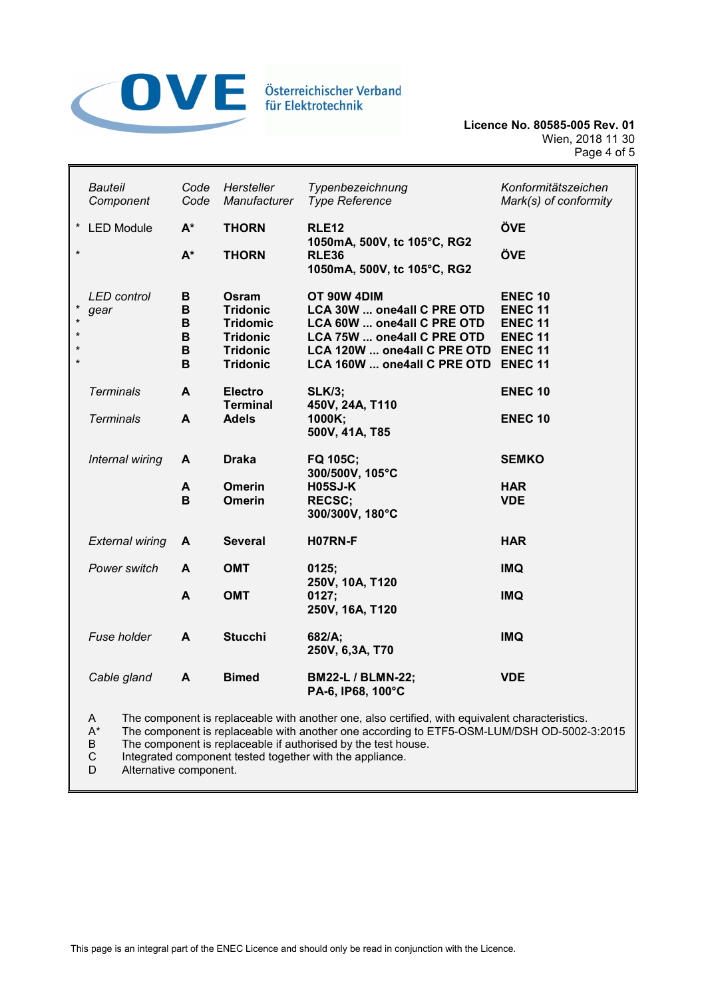

|                                                     | <b>Bauteil</b><br>Component | Code<br>Code               | Hersteller<br>Manufacturer                                                                           | Typenbezeichnung<br><b>Type Reference</b>                                                                                                                           | Konformitätszeichen<br>Mark(s) of conformity                                                             |
|-----------------------------------------------------|-----------------------------|----------------------------|------------------------------------------------------------------------------------------------------|---------------------------------------------------------------------------------------------------------------------------------------------------------------------|----------------------------------------------------------------------------------------------------------|
| $\star$                                             | <b>LED Module</b>           | $A^*$                      | <b>THORN</b>                                                                                         | <b>RLE12</b>                                                                                                                                                        | ÖVE                                                                                                      |
| $\star$                                             |                             | $A^*$                      | <b>THORN</b>                                                                                         | 1050mA, 500V, tc 105°C, RG2<br><b>RLE36</b><br>1050mA, 500V, tc 105°C, RG2                                                                                          | ÖVE                                                                                                      |
| $\star$<br>$\star$<br>$\star$<br>$\star$<br>$\star$ | <b>LED</b> control<br>gear  | В<br>B<br>B<br>B<br>В<br>В | Osram<br><b>Tridonic</b><br><b>Tridomic</b><br><b>Tridonic</b><br><b>Tridonic</b><br><b>Tridonic</b> | OT 90W 4DIM<br>LCA 30W  one4all C PRE OTD<br>LCA 60W  one4all C PRE OTD<br>LCA 75W  one4all C PRE OTD<br>LCA 120W  one4all C PRE OTD<br>LCA 160W  one4all C PRE OTD | <b>ENEC 10</b><br><b>ENEC 11</b><br><b>ENEC 11</b><br><b>ENEC 11</b><br><b>ENEC 11</b><br><b>ENEC 11</b> |
|                                                     | <b>Terminals</b>            | A                          | <b>Electro</b><br><b>Terminal</b>                                                                    | <b>SLK/3;</b><br>450V, 24A, T110                                                                                                                                    | <b>ENEC 10</b>                                                                                           |
|                                                     | <b>Terminals</b>            | A                          | <b>Adels</b>                                                                                         | 1000K;<br>500V, 41A, T85                                                                                                                                            | <b>ENEC 10</b>                                                                                           |
|                                                     | Internal wiring             | A                          | <b>Draka</b>                                                                                         | FQ 105C;<br>300/500V, 105°C                                                                                                                                         | <b>SEMKO</b>                                                                                             |
|                                                     |                             | A<br>В                     | <b>Omerin</b><br><b>Omerin</b>                                                                       | <b>H05SJ-K</b><br><b>RECSC;</b><br>300/300V, 180°C                                                                                                                  | <b>HAR</b><br><b>VDE</b>                                                                                 |
|                                                     | <b>External wiring</b>      | A                          | <b>Several</b>                                                                                       | H07RN-F                                                                                                                                                             | <b>HAR</b>                                                                                               |
|                                                     | Power switch                | A                          | <b>OMT</b>                                                                                           | 0125;<br>250V, 10A, T120                                                                                                                                            | <b>IMQ</b>                                                                                               |
|                                                     |                             | A                          | <b>OMT</b>                                                                                           | 0127;<br>250V, 16A, T120                                                                                                                                            | <b>IMQ</b>                                                                                               |
|                                                     | Fuse holder                 | A                          | <b>Stucchi</b>                                                                                       | 682/A;<br>250V, 6,3A, T70                                                                                                                                           | <b>IMQ</b>                                                                                               |
|                                                     | Cable gland                 | A                          | <b>Bimed</b>                                                                                         | <b>BM22-L / BLMN-22;</b><br>PA-6, IP68, 100°C                                                                                                                       | <b>VDE</b>                                                                                               |

A The component is replaceable with another one, also certified, with equivalent characteristics.<br>A\* The component is replaceable with another one according to ETF5-OSM-LUM/DSH OD-5002-

A\* The component is replaceable with another one according to ETF5-OSM-LUM/DSH OD-5002-3:2015<br>B The component is replaceable if authorised by the test house.

B The component is replaceable if authorised by the test house.<br>C Integrated component tested together with the appliance.

C Integrated component tested together with the appliance.<br>D Alternative component.

Alternative component.